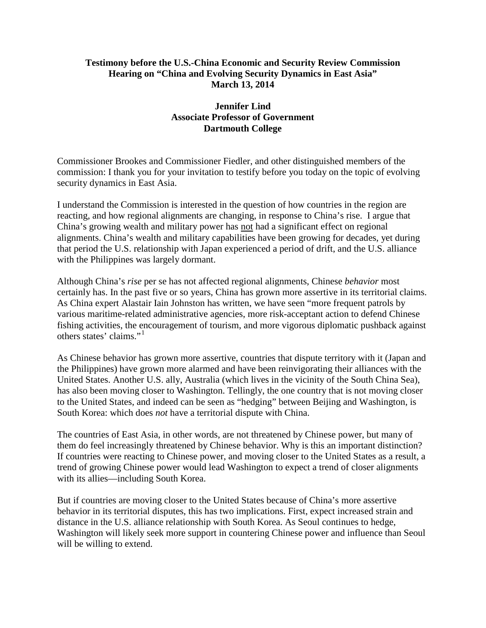### **Testimony before the U.S.-China Economic and Security Review Commission Hearing on "China and Evolving Security Dynamics in East Asia" March 13, 2014**

### **Jennifer Lind Associate Professor of Government Dartmouth College**

Commissioner Brookes and Commissioner Fiedler, and other distinguished members of the commission: I thank you for your invitation to testify before you today on the topic of evolving security dynamics in East Asia.

I understand the Commission is interested in the question of how countries in the region are reacting, and how regional alignments are changing, in response to China's rise. I argue that China's growing wealth and military power has not had a significant effect on regional alignments. China's wealth and military capabilities have been growing for decades, yet during that period the U.S. relationship with Japan experienced a period of drift, and the U.S. alliance with the Philippines was largely dormant.

Although China's *rise* per se has not affected regional alignments, Chinese *behavior* most certainly has. In the past five or so years, China has grown more assertive in its territorial claims. As China expert Alastair Iain Johnston has written, we have seen "more frequent patrols by various maritime-related administrative agencies, more risk-acceptant action to defend Chinese fishing activities, the encouragement of tourism, and more vigorous diplomatic pushback against others states' claims."[1](#page-9-0)

As Chinese behavior has grown more assertive, countries that dispute territory with it (Japan and the Philippines) have grown more alarmed and have been reinvigorating their alliances with the United States. Another U.S. ally, Australia (which lives in the vicinity of the South China Sea), has also been moving closer to Washington. Tellingly, the one country that is not moving closer to the United States, and indeed can be seen as "hedging" between Beijing and Washington, is South Korea: which does *not* have a territorial dispute with China.

The countries of East Asia, in other words, are not threatened by Chinese power, but many of them do feel increasingly threatened by Chinese behavior. Why is this an important distinction? If countries were reacting to Chinese power, and moving closer to the United States as a result, a trend of growing Chinese power would lead Washington to expect a trend of closer alignments with its allies—including South Korea.

But if countries are moving closer to the United States because of China's more assertive behavior in its territorial disputes, this has two implications. First, expect increased strain and distance in the U.S. alliance relationship with South Korea. As Seoul continues to hedge, Washington will likely seek more support in countering Chinese power and influence than Seoul will be willing to extend.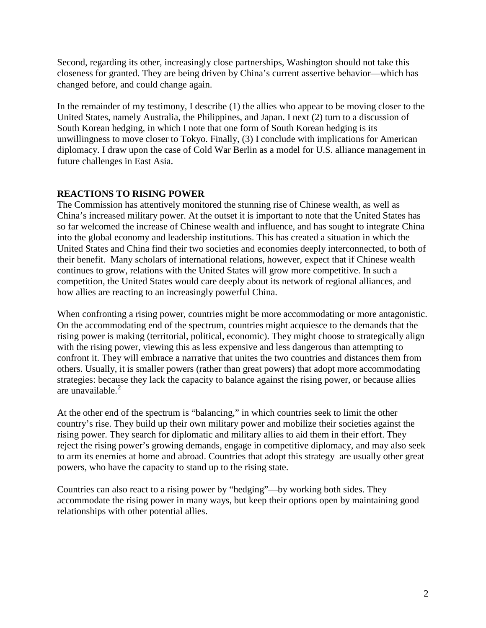Second, regarding its other, increasingly close partnerships, Washington should not take this closeness for granted. They are being driven by China's current assertive behavior—which has changed before, and could change again.

In the remainder of my testimony, I describe (1) the allies who appear to be moving closer to the United States, namely Australia, the Philippines, and Japan. I next (2) turn to a discussion of South Korean hedging, in which I note that one form of South Korean hedging is its unwillingness to move closer to Tokyo. Finally, (3) I conclude with implications for American diplomacy. I draw upon the case of Cold War Berlin as a model for U.S. alliance management in future challenges in East Asia.

# **REACTIONS TO RISING POWER**

The Commission has attentively monitored the stunning rise of Chinese wealth, as well as China's increased military power. At the outset it is important to note that the United States has so far welcomed the increase of Chinese wealth and influence, and has sought to integrate China into the global economy and leadership institutions. This has created a situation in which the United States and China find their two societies and economies deeply interconnected, to both of their benefit. Many scholars of international relations, however, expect that if Chinese wealth continues to grow, relations with the United States will grow more competitive. In such a competition, the United States would care deeply about its network of regional alliances, and how allies are reacting to an increasingly powerful China.

When confronting a rising power, countries might be more accommodating or more antagonistic. On the accommodating end of the spectrum, countries might acquiesce to the demands that the rising power is making (territorial, political, economic). They might choose to strategically align with the rising power, viewing this as less expensive and less dangerous than attempting to confront it. They will embrace a narrative that unites the two countries and distances them from others. Usually, it is smaller powers (rather than great powers) that adopt more accommodating strategies: because they lack the capacity to balance against the rising power, or because allies are unavailable. $<sup>2</sup>$  $<sup>2</sup>$  $<sup>2</sup>$ </sup>

At the other end of the spectrum is "balancing," in which countries seek to limit the other country's rise. They build up their own military power and mobilize their societies against the rising power. They search for diplomatic and military allies to aid them in their effort. They reject the rising power's growing demands, engage in competitive diplomacy, and may also seek to arm its enemies at home and abroad. Countries that adopt this strategy are usually other great powers, who have the capacity to stand up to the rising state.

Countries can also react to a rising power by "hedging"—by working both sides. They accommodate the rising power in many ways, but keep their options open by maintaining good relationships with other potential allies.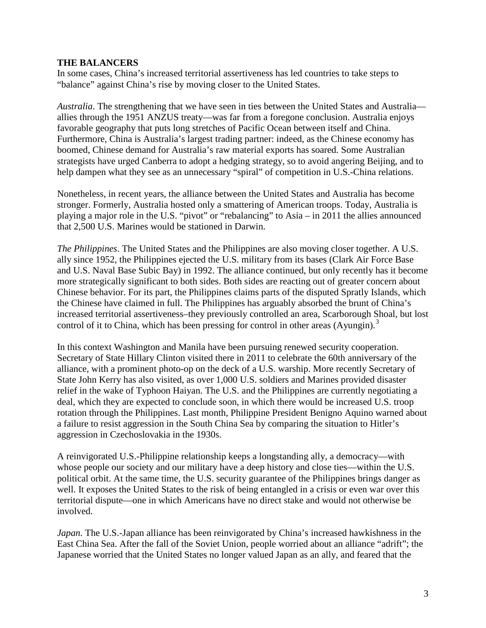#### **THE BALANCERS**

In some cases, China's increased territorial assertiveness has led countries to take steps to "balance" against China's rise by moving closer to the United States.

*Australia*. The strengthening that we have seen in ties between the United States and Australia allies through the 1951 ANZUS treaty—was far from a foregone conclusion. Australia enjoys favorable geography that puts long stretches of Pacific Ocean between itself and China. Furthermore, China is Australia's largest trading partner: indeed, as the Chinese economy has boomed, Chinese demand for Australia's raw material exports has soared. Some Australian strategists have urged Canberra to adopt a hedging strategy, so to avoid angering Beijing, and to help dampen what they see as an unnecessary "spiral" of competition in U.S.-China relations.

Nonetheless, in recent years, the alliance between the United States and Australia has become stronger. Formerly, Australia hosted only a smattering of American troops. Today, Australia is playing a major role in the U.S. "pivot" or "rebalancing" to Asia – in 2011 the allies announced that 2,500 U.S. Marines would be stationed in Darwin.

*The Philippines*. The United States and the Philippines are also moving closer together. A U.S. ally since 1952, the Philippines ejected the U.S. military from its bases (Clark Air Force Base and U.S. Naval Base Subic Bay) in 1992. The alliance continued, but only recently has it become more strategically significant to both sides. Both sides are reacting out of greater concern about Chinese behavior. For its part, the Philippines claims parts of the disputed Spratly Islands, which the Chinese have claimed in full. The Philippines has arguably absorbed the brunt of China's increased territorial assertiveness–they previously controlled an area, Scarborough Shoal, but lost control of it to China, which has been pressing for control in other areas (Ayungin).<sup>[3](#page-9-2)</sup>

In this context Washington and Manila have been pursuing renewed security cooperation. Secretary of State Hillary Clinton visited there in 2011 to celebrate the 60th anniversary of the alliance, with a prominent photo-op on the deck of a U.S. warship. More recently Secretary of State John Kerry has also visited, as over 1,000 U.S. soldiers and Marines provided disaster relief in the wake of Typhoon Haiyan. The U.S. and the Philippines are currently negotiating a deal, which they are expected to conclude soon, in which there would be increased U.S. troop rotation through the Philippines. Last month, Philippine President Benigno Aquino warned about a failure to resist aggression in the South China Sea by comparing the situation to Hitler's aggression in Czechoslovakia in the 1930s.

A reinvigorated U.S.-Philippine relationship keeps a longstanding ally, a democracy—with whose people our society and our military have a deep history and close ties—within the U.S. political orbit. At the same time, the U.S. security guarantee of the Philippines brings danger as well. It exposes the United States to the risk of being entangled in a crisis or even war over this territorial dispute—one in which Americans have no direct stake and would not otherwise be involved.

*Japan.* The U.S.-Japan alliance has been reinvigorated by China's increased hawkishness in the East China Sea. After the fall of the Soviet Union, people worried about an alliance "adrift"; the Japanese worried that the United States no longer valued Japan as an ally, and feared that the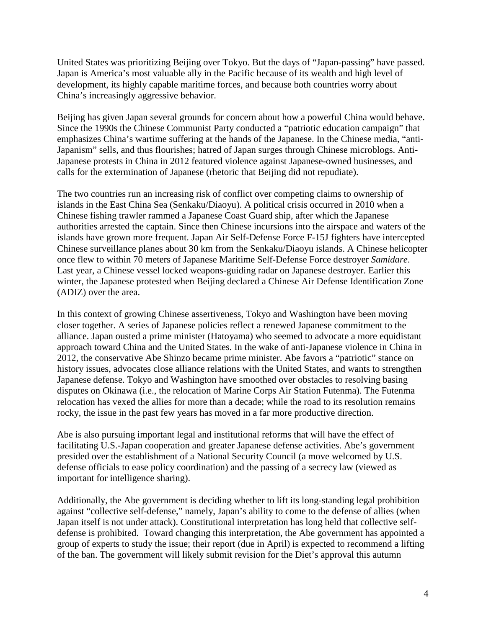United States was prioritizing Beijing over Tokyo. But the days of "Japan-passing" have passed. Japan is America's most valuable ally in the Pacific because of its wealth and high level of development, its highly capable maritime forces, and because both countries worry about China's increasingly aggressive behavior.

Beijing has given Japan several grounds for concern about how a powerful China would behave. Since the 1990s the Chinese Communist Party conducted a "patriotic education campaign" that emphasizes China's wartime suffering at the hands of the Japanese. In the Chinese media, "anti-Japanism" sells, and thus flourishes; hatred of Japan surges through Chinese microblogs. Anti-Japanese protests in China in 2012 featured violence against Japanese-owned businesses, and calls for the extermination of Japanese (rhetoric that Beijing did not repudiate).

The two countries run an increasing risk of conflict over competing claims to ownership of islands in the East China Sea (Senkaku/Diaoyu). A political crisis occurred in 2010 when a Chinese fishing trawler rammed a Japanese Coast Guard ship, after which the Japanese authorities arrested the captain. Since then Chinese incursions into the airspace and waters of the islands have grown more frequent. Japan Air Self-Defense Force F-15J fighters have intercepted Chinese surveillance planes about 30 km from the Senkaku/Diaoyu islands. A Chinese helicopter once flew to within 70 meters of Japanese Maritime Self-Defense Force destroyer *Samidare*. Last year, a Chinese vessel locked weapons-guiding radar on Japanese destroyer. Earlier this winter, the Japanese protested when Beijing declared a Chinese Air Defense Identification Zone (ADIZ) over the area.

In this context of growing Chinese assertiveness, Tokyo and Washington have been moving closer together. A series of Japanese policies reflect a renewed Japanese commitment to the alliance. Japan ousted a prime minister (Hatoyama) who seemed to advocate a more equidistant approach toward China and the United States. In the wake of anti-Japanese violence in China in 2012, the conservative Abe Shinzo became prime minister. Abe favors a "patriotic" stance on history issues, advocates close alliance relations with the United States, and wants to strengthen Japanese defense. Tokyo and Washington have smoothed over obstacles to resolving basing disputes on Okinawa (i.e., the relocation of Marine Corps Air Station Futenma). The Futenma relocation has vexed the allies for more than a decade; while the road to its resolution remains rocky, the issue in the past few years has moved in a far more productive direction.

Abe is also pursuing important legal and institutional reforms that will have the effect of facilitating U.S.-Japan cooperation and greater Japanese defense activities. Abe's government presided over the establishment of a National Security Council (a move welcomed by U.S. defense officials to ease policy coordination) and the passing of a secrecy law (viewed as important for intelligence sharing).

Additionally, the Abe government is deciding whether to lift its long-standing legal prohibition against "collective self-defense," namely, Japan's ability to come to the defense of allies (when Japan itself is not under attack). Constitutional interpretation has long held that collective selfdefense is prohibited. Toward changing this interpretation, the Abe government has appointed a group of experts to study the issue; their report (due in April) is expected to recommend a lifting of the ban. The government will likely submit revision for the Diet's approval this autumn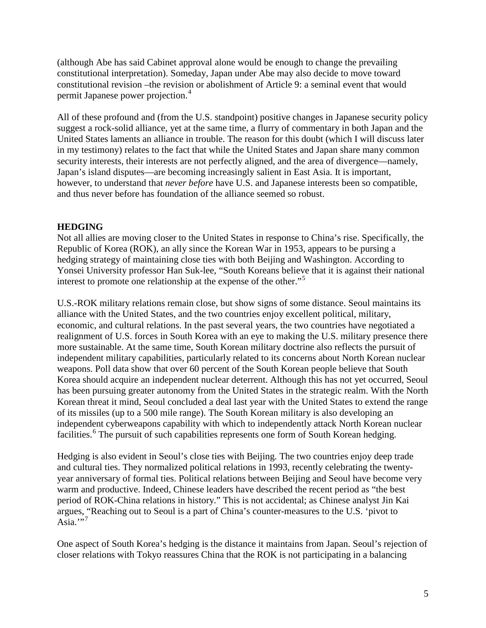(although Abe has said Cabinet approval alone would be enough to change the prevailing constitutional interpretation). Someday, Japan under Abe may also decide to move toward constitutional revision –the revision or abolishment of Article 9: a seminal event that would permit Japanese power projection.[4](#page-9-3)

All of these profound and (from the U.S. standpoint) positive changes in Japanese security policy suggest a rock-solid alliance, yet at the same time, a flurry of commentary in both Japan and the United States laments an alliance in trouble. The reason for this doubt (which I will discuss later in my testimony) relates to the fact that while the United States and Japan share many common security interests, their interests are not perfectly aligned, and the area of divergence—namely, Japan's island disputes—are becoming increasingly salient in East Asia. It is important, however, to understand that *never before* have U.S. and Japanese interests been so compatible, and thus never before has foundation of the alliance seemed so robust.

## **HEDGING**

Not all allies are moving closer to the United States in response to China's rise. Specifically, the Republic of Korea (ROK), an ally since the Korean War in 1953, appears to be pursing a hedging strategy of maintaining close ties with both Beijing and Washington. According to Yonsei University professor Han Suk-lee, "South Koreans believe that it is against their national interest to promote one relationship at the expense of the other."<sup>[5](#page-9-4)</sup>

U.S.-ROK military relations remain close, but show signs of some distance. Seoul maintains its alliance with the United States, and the two countries enjoy excellent political, military, economic, and cultural relations. In the past several years, the two countries have negotiated a realignment of U.S. forces in South Korea with an eye to making the U.S. military presence there more sustainable. At the same time, South Korean military doctrine also reflects the pursuit of independent military capabilities, particularly related to its concerns about North Korean nuclear weapons. Poll data show that over 60 percent of the South Korean people believe that South Korea should acquire an independent nuclear deterrent. Although this has not yet occurred, Seoul has been pursuing greater autonomy from the United States in the strategic realm. With the North Korean threat it mind, Seoul concluded a deal last year with the United States to extend the range of its missiles (up to a 500 mile range). The South Korean military is also developing an independent cyberweapons capability with which to independently attack North Korean nuclear facilities.<sup>[6](#page-9-5)</sup> The pursuit of such capabilities represents one form of South Korean hedging.

Hedging is also evident in Seoul's close ties with Beijing. The two countries enjoy deep trade and cultural ties. They normalized political relations in 1993, recently celebrating the twentyyear anniversary of formal ties. Political relations between Beijing and Seoul have become very warm and productive. Indeed, Chinese leaders have described the recent period as "the best period of ROK-China relations in history." This is not accidental; as Chinese analyst Jin Kai argues, "Reaching out to Seoul is a part of China's counter-measures to the U.S. 'pivot to Asia." $<sup>7</sup>$  $<sup>7</sup>$  $<sup>7</sup>$ </sup>

One aspect of South Korea's hedging is the distance it maintains from Japan. Seoul's rejection of closer relations with Tokyo reassures China that the ROK is not participating in a balancing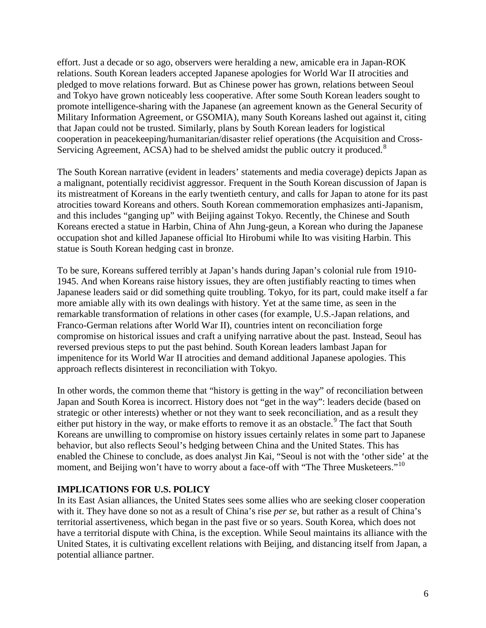effort. Just a decade or so ago, observers were heralding a new, amicable era in Japan-ROK relations. South Korean leaders accepted Japanese apologies for World War II atrocities and pledged to move relations forward. But as Chinese power has grown, relations between Seoul and Tokyo have grown noticeably less cooperative. After some South Korean leaders sought to promote intelligence-sharing with the Japanese (an agreement known as the General Security of Military Information Agreement, or GSOMIA), many South Koreans lashed out against it, citing that Japan could not be trusted. Similarly, plans by South Korean leaders for logistical cooperation in peacekeeping/humanitarian/disaster relief operations (the Acquisition and Cross-Servicing Agreement, ACSA) had to be shelved amidst the public outcry it produced.<sup>[8](#page-9-7)</sup>

The South Korean narrative (evident in leaders' statements and media coverage) depicts Japan as a malignant, potentially recidivist aggressor. Frequent in the South Korean discussion of Japan is its mistreatment of Koreans in the early twentieth century, and calls for Japan to atone for its past atrocities toward Koreans and others. South Korean commemoration emphasizes anti-Japanism, and this includes "ganging up" with Beijing against Tokyo. Recently, the Chinese and South Koreans erected a statue in Harbin, China of Ahn Jung-geun, a Korean who during the Japanese occupation shot and killed Japanese official Ito Hirobumi while Ito was visiting Harbin. This statue is South Korean hedging cast in bronze.

To be sure, Koreans suffered terribly at Japan's hands during Japan's colonial rule from 1910- 1945. And when Koreans raise history issues, they are often justifiably reacting to times when Japanese leaders said or did something quite troubling. Tokyo, for its part, could make itself a far more amiable ally with its own dealings with history. Yet at the same time, as seen in the remarkable transformation of relations in other cases (for example, U.S.-Japan relations, and Franco-German relations after World War II), countries intent on reconciliation forge compromise on historical issues and craft a unifying narrative about the past. Instead, Seoul has reversed previous steps to put the past behind. South Korean leaders lambast Japan for impenitence for its World War II atrocities and demand additional Japanese apologies. This approach reflects disinterest in reconciliation with Tokyo.

In other words, the common theme that "history is getting in the way" of reconciliation between Japan and South Korea is incorrect. History does not "get in the way": leaders decide (based on strategic or other interests) whether or not they want to seek reconciliation, and as a result they either put history in the way, or make efforts to remove it as an obstacle.<sup>[9](#page-9-8)</sup> The fact that South Koreans are unwilling to compromise on history issues certainly relates in some part to Japanese behavior, but also reflects Seoul's hedging between China and the United States. This has enabled the Chinese to conclude, as does analyst Jin Kai, "Seoul is not with the 'other side' at the moment, and Beijing won't have to worry about a face-off with "The Three Musketeers."<sup>[10](#page-9-9)</sup>

## **IMPLICATIONS FOR U.S. POLICY**

In its East Asian alliances, the United States sees some allies who are seeking closer cooperation with it. They have done so not as a result of China's rise *per se*, but rather as a result of China's territorial assertiveness, which began in the past five or so years. South Korea, which does not have a territorial dispute with China, is the exception. While Seoul maintains its alliance with the United States, it is cultivating excellent relations with Beijing, and distancing itself from Japan, a potential alliance partner.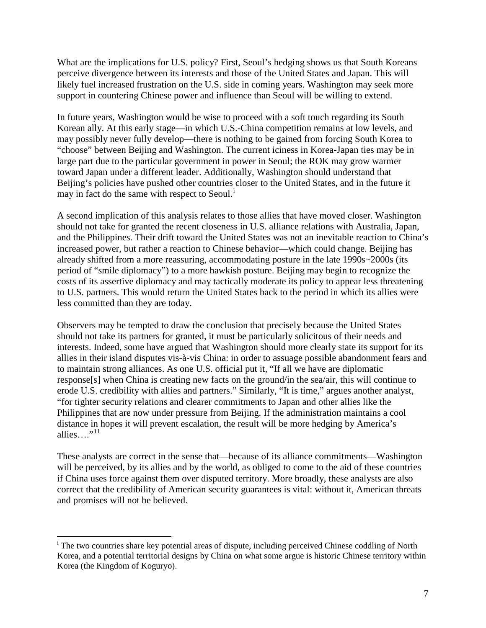What are the implications for U.S. policy? First, Seoul's hedging shows us that South Koreans perceive divergence between its interests and those of the United States and Japan. This will likely fuel increased frustration on the U.S. side in coming years. Washington may seek more support in countering Chinese power and influence than Seoul will be willing to extend.

In future years, Washington would be wise to proceed with a soft touch regarding its South Korean ally. At this early stage—in which U.S.-China competition remains at low levels, and may possibly never fully develop—there is nothing to be gained from forcing South Korea to "choose" between Beijing and Washington. The current iciness in Korea-Japan ties may be in large part due to the particular government in power in Seoul; the ROK may grow warmer toward Japan under a different leader. Additionally, Washington should understand that Beijing's policies have pushed other countries closer to the United States, and in the future it may [i](#page-6-0)n fact do the same with respect to Seoul.<sup>i</sup>

A second implication of this analysis relates to those allies that have moved closer. Washington should not take for granted the recent closeness in U.S. alliance relations with Australia, Japan, and the Philippines. Their drift toward the United States was not an inevitable reaction to China's increased power, but rather a reaction to Chinese behavior—which could change. Beijing has already shifted from a more reassuring, accommodating posture in the late 1990s~2000s (its period of "smile diplomacy") to a more hawkish posture. Beijing may begin to recognize the costs of its assertive diplomacy and may tactically moderate its policy to appear less threatening to U.S. partners. This would return the United States back to the period in which its allies were less committed than they are today.

Observers may be tempted to draw the conclusion that precisely because the United States should not take its partners for granted, it must be particularly solicitous of their needs and interests. Indeed, some have argued that Washington should more clearly state its support for its allies in their island disputes vis-à-vis China: in order to assuage possible abandonment fears and to maintain strong alliances. As one U.S. official put it, "If all we have are diplomatic response[s] when China is creating new facts on the ground/in the sea/air, this will continue to erode U.S. credibility with allies and partners." Similarly, "It is time," argues another analyst, "for tighter security relations and clearer commitments to Japan and other allies like the Philippines that are now under pressure from Beijing. If the administration maintains a cool distance in hopes it will prevent escalation, the result will be more hedging by America's allies…." $11$ 

These analysts are correct in the sense that—because of its alliance commitments—Washington will be perceived, by its allies and by the world, as obliged to come to the aid of these countries if China uses force against them over disputed territory. More broadly, these analysts are also correct that the credibility of American security guarantees is vital: without it, American threats and promises will not be believed.

<span id="page-6-0"></span><sup>&</sup>lt;sup>i</sup> The two countries share key potential areas of dispute, including perceived Chinese coddling of North Korea, and a potential territorial designs by China on what some argue is historic Chinese territory within Korea (the Kingdom of Koguryo).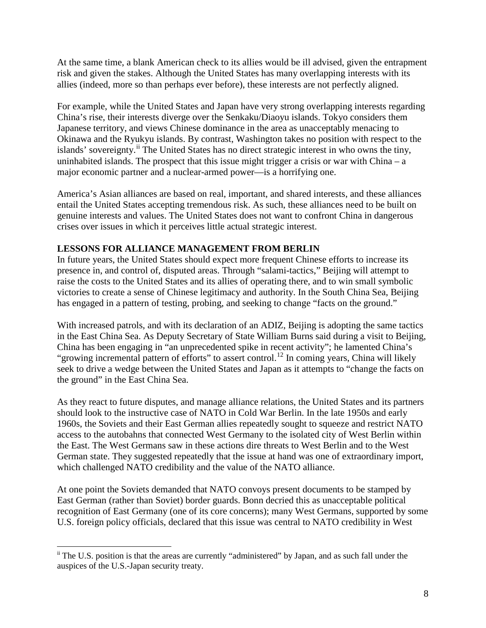At the same time, a blank American check to its allies would be ill advised, given the entrapment risk and given the stakes. Although the United States has many overlapping interests with its allies (indeed, more so than perhaps ever before), these interests are not perfectly aligned.

For example, while the United States and Japan have very strong overlapping interests regarding China's rise, their interests diverge over the Senkaku/Diaoyu islands. Tokyo considers them Japanese territory, and views Chinese dominance in the area as unacceptably menacing to Okinawa and the Ryukyu islands. By contrast, Washington takes no position with respect to the islands' sovereignty.<sup>[ii](#page-7-0)</sup> The United States has no direct strategic interest in who owns the tiny, uninhabited islands. The prospect that this issue might trigger a crisis or war with China – a major economic partner and a nuclear-armed power—is a horrifying one.

America's Asian alliances are based on real, important, and shared interests, and these alliances entail the United States accepting tremendous risk. As such, these alliances need to be built on genuine interests and values. The United States does not want to confront China in dangerous crises over issues in which it perceives little actual strategic interest.

# **LESSONS FOR ALLIANCE MANAGEMENT FROM BERLIN**

In future years, the United States should expect more frequent Chinese efforts to increase its presence in, and control of, disputed areas. Through "salami-tactics," Beijing will attempt to raise the costs to the United States and its allies of operating there, and to win small symbolic victories to create a sense of Chinese legitimacy and authority. In the South China Sea, Beijing has engaged in a pattern of testing, probing, and seeking to change "facts on the ground."

With increased patrols, and with its declaration of an ADIZ, Beijing is adopting the same tactics in the East China Sea. As Deputy Secretary of State William Burns said during a visit to Beijing, China has been engaging in "an unprecedented spike in recent activity"; he lamented China's "growing incremental pattern of efforts" to assert control.<sup>[12](#page-9-11)</sup> In coming years, China will likely seek to drive a wedge between the United States and Japan as it attempts to "change the facts on the ground" in the East China Sea.

As they react to future disputes, and manage alliance relations, the United States and its partners should look to the instructive case of NATO in Cold War Berlin. In the late 1950s and early 1960s, the Soviets and their East German allies repeatedly sought to squeeze and restrict NATO access to the autobahns that connected West Germany to the isolated city of West Berlin within the East. The West Germans saw in these actions dire threats to West Berlin and to the West German state. They suggested repeatedly that the issue at hand was one of extraordinary import, which challenged NATO credibility and the value of the NATO alliance.

At one point the Soviets demanded that NATO convoys present documents to be stamped by East German (rather than Soviet) border guards. Bonn decried this as unacceptable political recognition of East Germany (one of its core concerns); many West Germans, supported by some U.S. foreign policy officials, declared that this issue was central to NATO credibility in West

<span id="page-7-0"></span><sup>&</sup>lt;sup>ii</sup> The U.S. position is that the areas are currently "administered" by Japan, and as such fall under the auspices of the U.S.-Japan security treaty.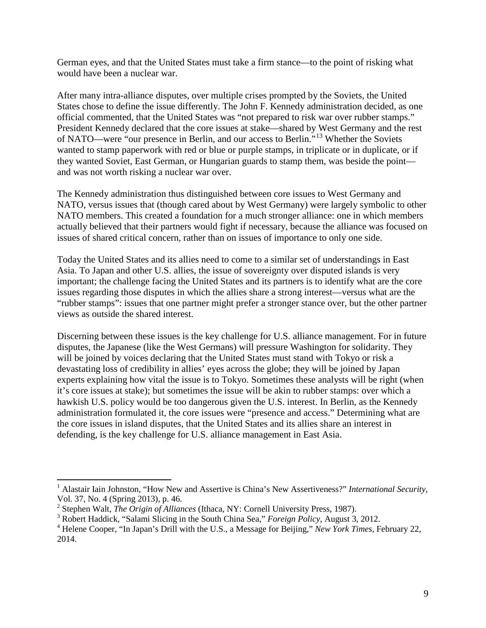German eyes, and that the United States must take a firm stance—to the point of risking what would have been a nuclear war.

After many intra-alliance disputes, over multiple crises prompted by the Soviets, the United States chose to define the issue differently. The John F. Kennedy administration decided, as one official commented, that the United States was "not prepared to risk war over rubber stamps." President Kennedy declared that the core issues at stake—shared by West Germany and the rest of NATO—were "our presence in Berlin, and our access to Berlin."[13](#page-9-12) Whether the Soviets wanted to stamp paperwork with red or blue or purple stamps, in triplicate or in duplicate, or if they wanted Soviet, East German, or Hungarian guards to stamp them, was beside the point and was not worth risking a nuclear war over.

The Kennedy administration thus distinguished between core issues to West Germany and NATO, versus issues that (though cared about by West Germany) were largely symbolic to other NATO members. This created a foundation for a much stronger alliance: one in which members actually believed that their partners would fight if necessary, because the alliance was focused on issues of shared critical concern, rather than on issues of importance to only one side.

Today the United States and its allies need to come to a similar set of understandings in East Asia. To Japan and other U.S. allies, the issue of sovereignty over disputed islands is very important; the challenge facing the United States and its partners is to identify what are the core issues regarding those disputes in which the allies share a strong interest—versus what are the "rubber stamps": issues that one partner might prefer a stronger stance over, but the other partner views as outside the shared interest.

Discerning between these issues is the key challenge for U.S. alliance management. For in future disputes, the Japanese (like the West Germans) will pressure Washington for solidarity. They will be joined by voices declaring that the United States must stand with Tokyo or risk a devastating loss of credibility in allies' eyes across the globe; they will be joined by Japan experts explaining how vital the issue is to Tokyo. Sometimes these analysts will be right (when it's core issues at stake); but sometimes the issue will be akin to rubber stamps: over which a hawkish U.S. policy would be too dangerous given the U.S. interest. In Berlin, as the Kennedy administration formulated it, the core issues were "presence and access." Determining what are the core issues in island disputes, that the United States and its allies share an interest in defending, is the key challenge for U.S. alliance management in East Asia.

<sup>&</sup>lt;sup>1</sup> Alastair Iain Johnston, "How New and Assertive is China's New Assertiveness?" *International Security*, Vol. 37, No. 4 (Spring 2013), p. 46.  $\frac{1}{1}$ 

<sup>2</sup> Stephen Walt, *The Origin of Alliances* (Ithaca, NY: Cornell University Press, 1987).

<sup>3</sup> Robert Haddick, "Salami Slicing in the South China Sea," *Foreign Policy*, August 3, 2012.

<sup>4</sup> Helene Cooper, "In Japan's Drill with the U.S., a Message for Beijing," *New York Times*, February 22, 2014.